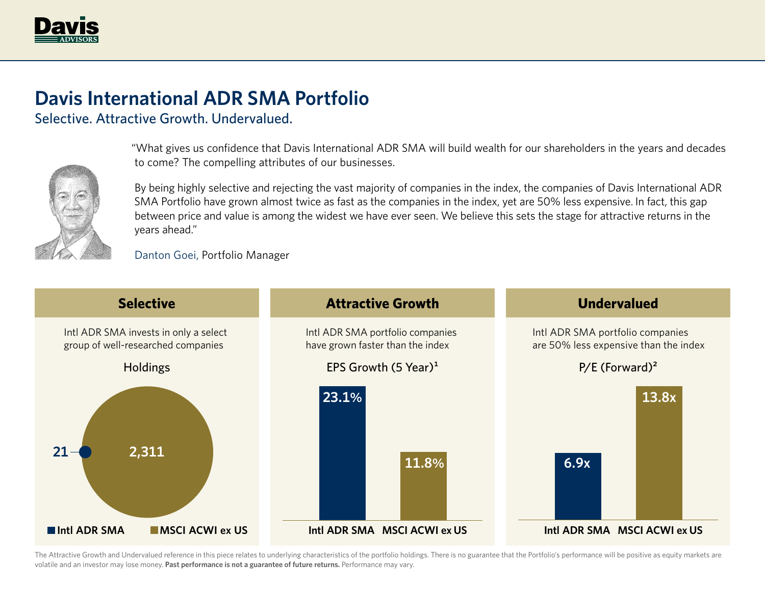

## **Davis International ADR SMA Portfolio**

Selective. Attractive Growth. Undervalued.



"What gives us confidence that Davis International ADR SMA will build wealth for our shareholders in the years and decades to come? The compelling attributes of our businesses.

By being highly selective and rejecting the vast majority of companies in the index, the companies of Davis International ADR SMA Portfolio have grown almost twice as fast as the companies in the index, yet are 50% less expensive. In fact, this gap between price and value is among the widest we have ever seen. We believe this sets the stage for attractive returns in the years ahead."

Danton Goei, Portfolio Manager



The Attractive Growth and Undervalued reference in this piece relates to underlying characteristics of the portfolio holdings. There is no guarantee that the Portfolio's performance will be positive as equity markets are volatile and an investor may lose money. **Past performance is not a guarantee of future returns.** Performance may vary.